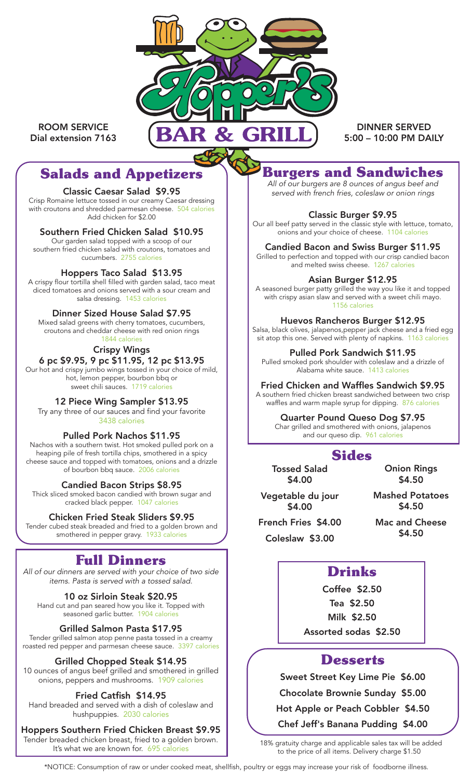

ROOM SERVICE Dial extension 7163

DINNER SERVED 5:00 – 10:00 PM DAILY

# **Salads and Appetizers**

#### Classic Caesar Salad \$9.95

Crisp Romaine lettuce tossed in our creamy Caesar dressing with croutons and shredded parmesan cheese. 504 calories Add chicken for \$2.00

### Southern Fried Chicken Salad \$10.95

Our garden salad topped with a scoop of our southern fried chicken salad with croutons, tomatoes and cucumbers. 2755 calories

### Hoppers Taco Salad \$13.95

A crispy flour tortilla shell filled with garden salad, taco meat diced tomatoes and onions served with a sour cream and salsa dressing. 1453 calories

### Dinner Sized House Salad \$7.95

Mixed salad greens with cherry tomatoes, cucumbers, croutons and cheddar cheese with red onion rings 1844 calories

### Crispy Wings

#### 6 pc \$9.95, 9 pc \$11.95, 12 pc \$13.95 Our hot and crispy jumbo wings tossed in your choice of mild,

hot, lemon pepper, bourbon bbq or sweet chili sauces. 1719 calories

### 12 Piece Wing Sampler \$13.95

Try any three of our sauces and find your favorite 3438 calories

#### Pulled Pork Nachos \$11.95

Nachos with a southern twist. Hot smoked pulled pork on a heaping pile of fresh tortilla chips, smothered in a spicy cheese sauce and topped with tomatoes, onions and a drizzle of bourbon bbq sauce. 2006 calories

#### Candied Bacon Strips \$8.95

Thick sliced smoked bacon candied with brown sugar and cracked black pepper. 1047 calories

### Chicken Fried Steak Sliders \$9.95

Tender cubed steak breaded and fried to a golden brown and smothered in pepper gravy. 1933 calories

# **Full Dinners**

*All of our dinners are served with your choice of two side items. Pasta is served with a tossed salad.*

10 oz Sirloin Steak \$20.95 Hand cut and pan seared how you like it. Topped with seasoned garlic butter. 1904 calories

### Grilled Salmon Pasta \$17.95

Tender grilled salmon atop penne pasta tossed in a creamy roasted red pepper and parmesan cheese sauce. 3397 calories

### Grilled Chopped Steak \$14.95

10 ounces of angus beef grilled and smothered in grilled onions, peppers and mushrooms. 1909 calories

### Fried Catfish \$14.95

Hand breaded and served with a dish of coleslaw and hushpuppies. 2030 calories

Hoppers Southern Fried Chicken Breast \$9.95 Tender breaded chicken breast, fried to a golden brown.<br>It's what we are known for. 695 calories

**Burgers and Sandwiches**

*All of our burgers are 8 ounces of angus beef and served with french fries, coleslaw or onion rings*

#### Classic Burger \$9.95

Our all beef patty served in the classic style with lettuce, tomato, onions and your choice of cheese. 1104 calories

#### Candied Bacon and Swiss Burger \$11.95

Grilled to perfection and topped with our crisp candied bacon and melted swiss cheese. 1267 calories

#### Asian Burger \$12.95

A seasoned burger patty grilled the way you like it and topped with crispy asian slaw and served with a sweet chili mayo. 1156 calories

#### Huevos Rancheros Burger \$12.95

Salsa, black olives, jalapenos,pepper jack cheese and a fried egg sit atop this one. Served with plenty of napkins. 1163 calories

Pulled Pork Sandwich \$11.95

Pulled smoked pork shoulder with coleslaw and a drizzle of Alabama white sauce. 1413 calories

#### Fried Chicken and Waffles Sandwich \$9.95

A southern fried chicken breast sandwiched between two crisp waffles and warm maple syrup for dipping. 876 calories

### Quarter Pound Queso Dog \$7.95

Char grilled and smothered with onions, jalapenos and our queso dip. 961 calorie

## **Sides**

Tossed Salad \$4.00

Onion Rings \$4.50

Vegetable du jour \$4.00

\$4.50

Mashed Potatoes

French Fries \$4.00 Coleslaw \$3.00

Mac and Cheese \$4.50

## **Drinks**

Coffee \$2.50 Tea \$2.50 Milk \$2.50 Assorted sodas \$2.50

### **Desserts**

Sweet Street Key Lime Pie \$6.00

Chocolate Brownie Sunday \$5.00

Hot Apple or Peach Cobbler \$4.50

Chef Jeff's Banana Pudding \$4.00

18% gratuity charge and applicable sales tax will be added to the price of all items. Delivery charge \$1.50

\*NOTICE: Consumption of raw or under cooked meat, shellfish, poultry or eggs may increase your risk of foodborne illness.